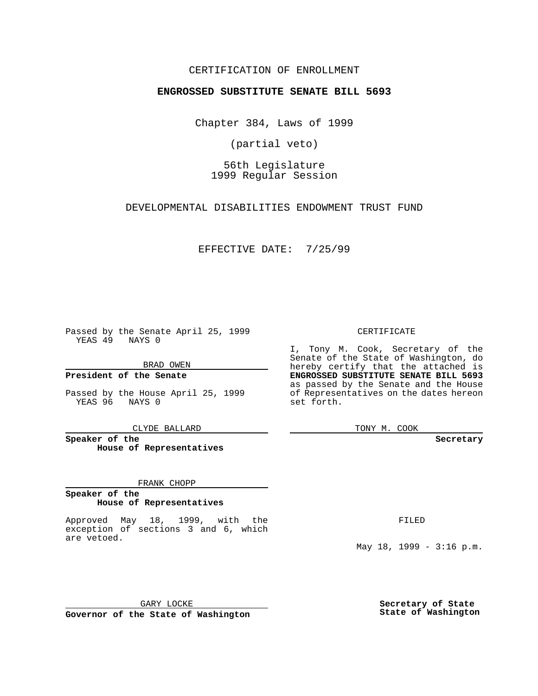### CERTIFICATION OF ENROLLMENT

# **ENGROSSED SUBSTITUTE SENATE BILL 5693**

Chapter 384, Laws of 1999

(partial veto)

56th Legislature 1999 Regular Session

DEVELOPMENTAL DISABILITIES ENDOWMENT TRUST FUND

EFFECTIVE DATE: 7/25/99

Passed by the Senate April 25, 1999 YEAS 49 NAYS 0

BRAD OWEN

**President of the Senate**

Passed by the House April 25, 1999 YEAS 96 NAYS 0

CLYDE BALLARD

**Speaker of the House of Representatives**

#### FRANK CHOPP

#### **Speaker of the House of Representatives**

Approved May 18, 1999, with the exception of sections 3 and 6, which are vetoed.

CERTIFICATE

I, Tony M. Cook, Secretary of the Senate of the State of Washington, do hereby certify that the attached is **ENGROSSED SUBSTITUTE SENATE BILL 5693** as passed by the Senate and the House of Representatives on the dates hereon set forth.

TONY M. COOK

#### **Secretary**

FILED

May 18, 1999 - 3:16 p.m.

GARY LOCKE **Governor of the State of Washington**

**Secretary of State State of Washington**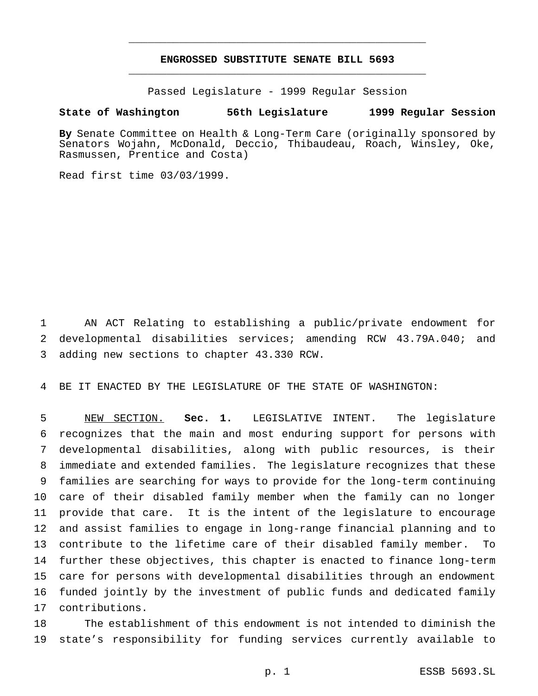# **ENGROSSED SUBSTITUTE SENATE BILL 5693** \_\_\_\_\_\_\_\_\_\_\_\_\_\_\_\_\_\_\_\_\_\_\_\_\_\_\_\_\_\_\_\_\_\_\_\_\_\_\_\_\_\_\_\_\_\_\_

\_\_\_\_\_\_\_\_\_\_\_\_\_\_\_\_\_\_\_\_\_\_\_\_\_\_\_\_\_\_\_\_\_\_\_\_\_\_\_\_\_\_\_\_\_\_\_

Passed Legislature - 1999 Regular Session

### **State of Washington 56th Legislature 1999 Regular Session**

**By** Senate Committee on Health & Long-Term Care (originally sponsored by Senators Wojahn, McDonald, Deccio, Thibaudeau, Roach, Winsley, Oke, Rasmussen, Prentice and Costa)

Read first time 03/03/1999.

 AN ACT Relating to establishing a public/private endowment for developmental disabilities services; amending RCW 43.79A.040; and adding new sections to chapter 43.330 RCW.

BE IT ENACTED BY THE LEGISLATURE OF THE STATE OF WASHINGTON:

 NEW SECTION. **Sec. 1.** LEGISLATIVE INTENT. The legislature recognizes that the main and most enduring support for persons with developmental disabilities, along with public resources, is their immediate and extended families. The legislature recognizes that these families are searching for ways to provide for the long-term continuing care of their disabled family member when the family can no longer provide that care. It is the intent of the legislature to encourage and assist families to engage in long-range financial planning and to contribute to the lifetime care of their disabled family member. To further these objectives, this chapter is enacted to finance long-term care for persons with developmental disabilities through an endowment funded jointly by the investment of public funds and dedicated family contributions.

 The establishment of this endowment is not intended to diminish the state's responsibility for funding services currently available to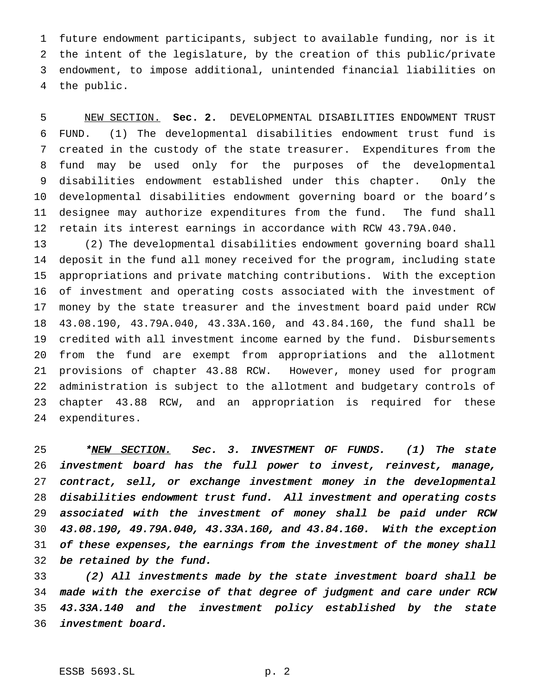future endowment participants, subject to available funding, nor is it the intent of the legislature, by the creation of this public/private endowment, to impose additional, unintended financial liabilities on the public.

 NEW SECTION. **Sec. 2.** DEVELOPMENTAL DISABILITIES ENDOWMENT TRUST FUND. (1) The developmental disabilities endowment trust fund is created in the custody of the state treasurer. Expenditures from the fund may be used only for the purposes of the developmental disabilities endowment established under this chapter. Only the developmental disabilities endowment governing board or the board's designee may authorize expenditures from the fund. The fund shall retain its interest earnings in accordance with RCW 43.79A.040.

 (2) The developmental disabilities endowment governing board shall deposit in the fund all money received for the program, including state appropriations and private matching contributions. With the exception of investment and operating costs associated with the investment of money by the state treasurer and the investment board paid under RCW 43.08.190, 43.79A.040, 43.33A.160, and 43.84.160, the fund shall be credited with all investment income earned by the fund. Disbursements from the fund are exempt from appropriations and the allotment provisions of chapter 43.88 RCW. However, money used for program administration is subject to the allotment and budgetary controls of chapter 43.88 RCW, and an appropriation is required for these expenditures.

25 \*NEW SECTION. Sec. 3. INVESTMENT OF FUNDS. (1) The state investment board has the full power to invest, reinvest, manage, contract, sell, or exchange investment money in the developmental disabilities endowment trust fund. All investment and operating costs associated with the investment of money shall be paid under RCW 43.08.190, 49.79A.040, 43.33A.160, and 43.84.160. With the exception 31 of these expenses, the earnings from the investment of the money shall be retained by the fund.

 (2) All investments made by the state investment board shall be made with the exercise of that degree of judgment and care under RCW 43.33A.140 and the investment policy established by the state investment board.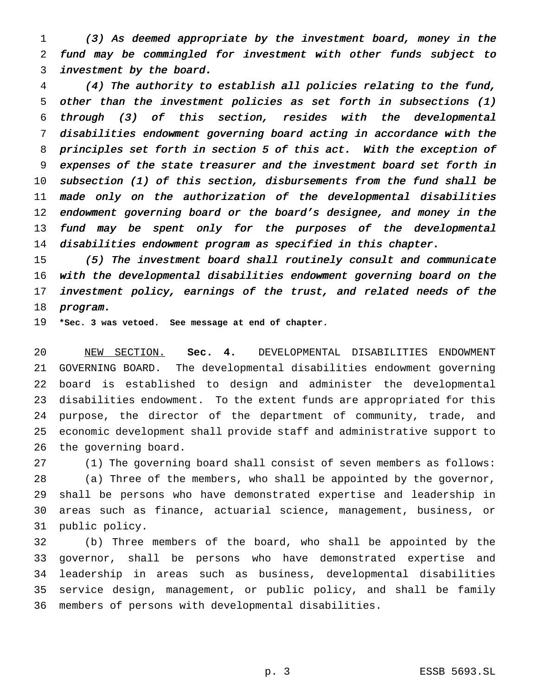(3) As deemed appropriate by the investment board, money in the fund may be commingled for investment with other funds subject to investment by the board.

 (4) The authority to establish all policies relating to the fund, other than the investment policies as set forth in subsections (1) through (3) of this section, resides with the developmental disabilities endowment governing board acting in accordance with the principles set forth in section <sup>5</sup> of this act. With the exception of expenses of the state treasurer and the investment board set forth in subsection (1) of this section, disbursements from the fund shall be made only on the authorization of the developmental disabilities 12 endowment governing board or the board's designee, and money in the 13 fund may be spent only for the purposes of the developmental disabilities endowment program as specified in this chapter.

 (5) The investment board shall routinely consult and communicate with the developmental disabilities endowment governing board on the investment policy, earnings of the trust, and related needs of the program.

**\*Sec. 3 was vetoed. See message at end of chapter.**

 NEW SECTION. **Sec. 4.** DEVELOPMENTAL DISABILITIES ENDOWMENT GOVERNING BOARD. The developmental disabilities endowment governing board is established to design and administer the developmental disabilities endowment. To the extent funds are appropriated for this purpose, the director of the department of community, trade, and economic development shall provide staff and administrative support to the governing board.

 (1) The governing board shall consist of seven members as follows: (a) Three of the members, who shall be appointed by the governor, shall be persons who have demonstrated expertise and leadership in areas such as finance, actuarial science, management, business, or public policy.

 (b) Three members of the board, who shall be appointed by the governor, shall be persons who have demonstrated expertise and leadership in areas such as business, developmental disabilities service design, management, or public policy, and shall be family members of persons with developmental disabilities.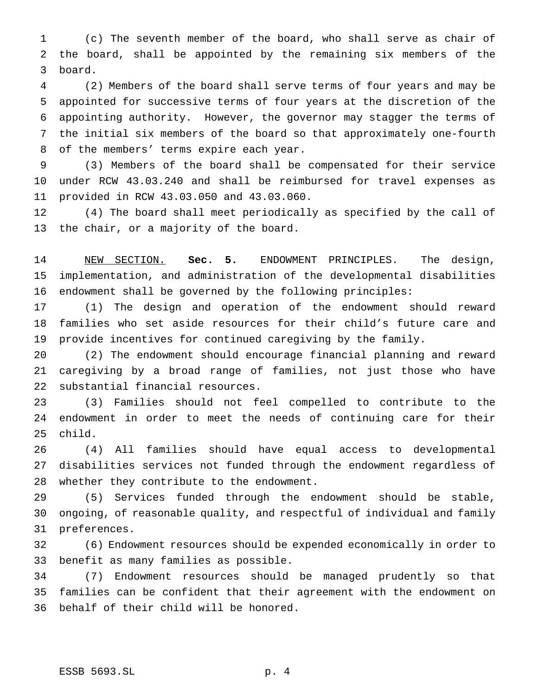(c) The seventh member of the board, who shall serve as chair of the board, shall be appointed by the remaining six members of the board.

 (2) Members of the board shall serve terms of four years and may be appointed for successive terms of four years at the discretion of the appointing authority. However, the governor may stagger the terms of the initial six members of the board so that approximately one-fourth of the members' terms expire each year.

 (3) Members of the board shall be compensated for their service under RCW 43.03.240 and shall be reimbursed for travel expenses as provided in RCW 43.03.050 and 43.03.060.

 (4) The board shall meet periodically as specified by the call of the chair, or a majority of the board.

 NEW SECTION. **Sec. 5.** ENDOWMENT PRINCIPLES. The design, implementation, and administration of the developmental disabilities endowment shall be governed by the following principles:

 (1) The design and operation of the endowment should reward families who set aside resources for their child's future care and provide incentives for continued caregiving by the family.

 (2) The endowment should encourage financial planning and reward caregiving by a broad range of families, not just those who have substantial financial resources.

 (3) Families should not feel compelled to contribute to the endowment in order to meet the needs of continuing care for their child.

 (4) All families should have equal access to developmental disabilities services not funded through the endowment regardless of whether they contribute to the endowment.

 (5) Services funded through the endowment should be stable, ongoing, of reasonable quality, and respectful of individual and family preferences.

 (6) Endowment resources should be expended economically in order to benefit as many families as possible.

 (7) Endowment resources should be managed prudently so that families can be confident that their agreement with the endowment on behalf of their child will be honored.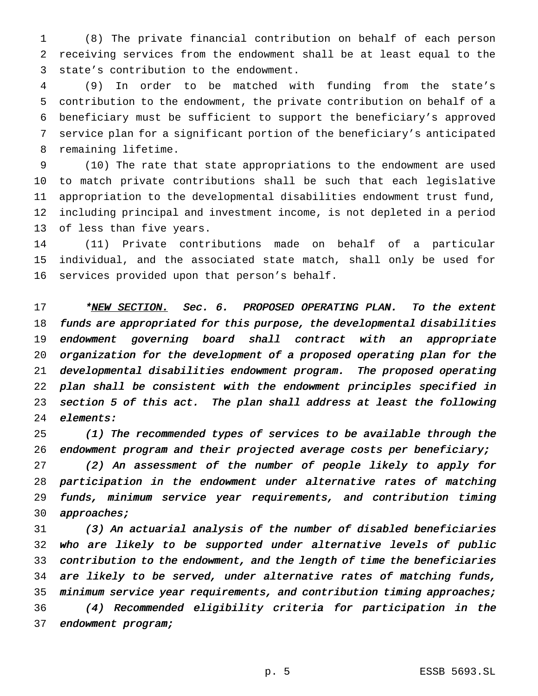(8) The private financial contribution on behalf of each person receiving services from the endowment shall be at least equal to the state's contribution to the endowment.

 (9) In order to be matched with funding from the state's contribution to the endowment, the private contribution on behalf of a beneficiary must be sufficient to support the beneficiary's approved service plan for a significant portion of the beneficiary's anticipated remaining lifetime.

 (10) The rate that state appropriations to the endowment are used to match private contributions shall be such that each legislative appropriation to the developmental disabilities endowment trust fund, including principal and investment income, is not depleted in a period of less than five years.

 (11) Private contributions made on behalf of a particular individual, and the associated state match, shall only be used for services provided upon that person's behalf.

17 \*NEW SECTION. Sec. 6. PROPOSED OPERATING PLAN. To the extent funds are appropriated for this purpose, the developmental disabilities endowment governing board shall contract with an appropriate organization for the development of <sup>a</sup> proposed operating plan for the developmental disabilities endowment program. The proposed operating plan shall be consistent with the endowment principles specified in section <sup>5</sup> of this act. The plan shall address at least the following elements:

 (1) The recommended types of services to be available through the endowment program and their projected average costs per beneficiary;

 (2) An assessment of the number of people likely to apply for participation in the endowment under alternative rates of matching funds, minimum service year requirements, and contribution timing 30 approaches;

 (3) An actuarial analysis of the number of disabled beneficiaries who are likely to be supported under alternative levels of public contribution to the endowment, and the length of time the beneficiaries are likely to be served, under alternative rates of matching funds, 35 minimum service year requirements, and contribution timing approaches; (4) Recommended eligibility criteria for participation in the 37 endowment program;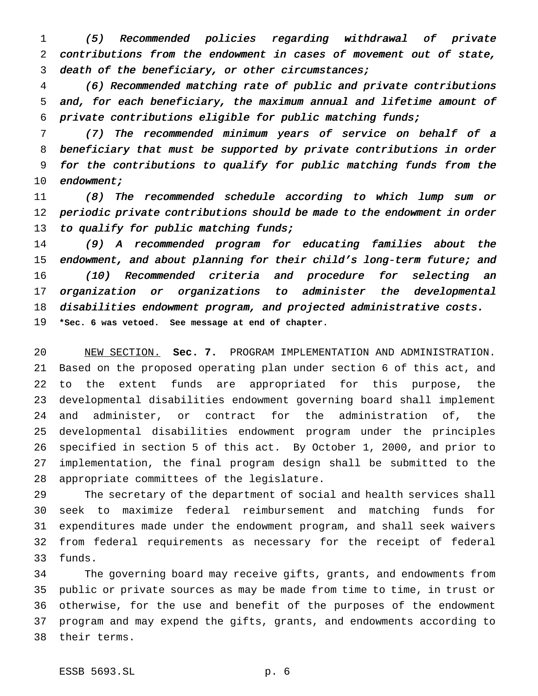(5) Recommended policies regarding withdrawal of private contributions from the endowment in cases of movement out of state, death of the beneficiary, or other circumstances;

 (6) Recommended matching rate of public and private contributions and, for each beneficiary, the maximum annual and lifetime amount of private contributions eligible for public matching funds;

 (7) The recommended minimum years of service on behalf of <sup>a</sup> beneficiary that must be supported by private contributions in order for the contributions to qualify for public matching funds from the 10 endowment;

 (8) The recommended schedule according to which lump sum or periodic private contributions should be made to the endowment in order 13 to qualify for public matching funds;

 (9) <sup>A</sup> recommended program for educating families about the endowment, and about planning for their child's long-term future; and (10) Recommended criteria and procedure for selecting an organization or organizations to administer the developmental disabilities endowment program, and projected administrative costs. **\*Sec. 6 was vetoed. See message at end of chapter.**

 NEW SECTION. **Sec. 7.** PROGRAM IMPLEMENTATION AND ADMINISTRATION. Based on the proposed operating plan under section 6 of this act, and to the extent funds are appropriated for this purpose, the developmental disabilities endowment governing board shall implement and administer, or contract for the administration of, the developmental disabilities endowment program under the principles specified in section 5 of this act. By October 1, 2000, and prior to implementation, the final program design shall be submitted to the appropriate committees of the legislature.

 The secretary of the department of social and health services shall seek to maximize federal reimbursement and matching funds for expenditures made under the endowment program, and shall seek waivers from federal requirements as necessary for the receipt of federal funds.

 The governing board may receive gifts, grants, and endowments from public or private sources as may be made from time to time, in trust or otherwise, for the use and benefit of the purposes of the endowment program and may expend the gifts, grants, and endowments according to their terms.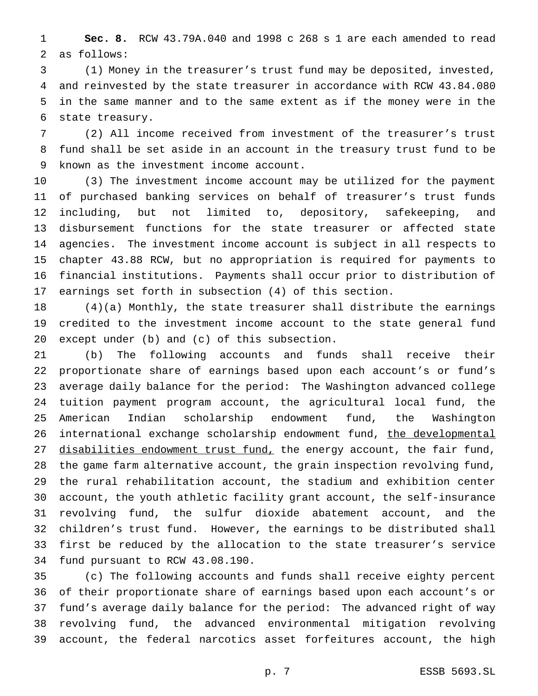**Sec. 8.** RCW 43.79A.040 and 1998 c 268 s 1 are each amended to read as follows:

 (1) Money in the treasurer's trust fund may be deposited, invested, and reinvested by the state treasurer in accordance with RCW 43.84.080 in the same manner and to the same extent as if the money were in the state treasury.

 (2) All income received from investment of the treasurer's trust fund shall be set aside in an account in the treasury trust fund to be known as the investment income account.

 (3) The investment income account may be utilized for the payment of purchased banking services on behalf of treasurer's trust funds including, but not limited to, depository, safekeeping, and disbursement functions for the state treasurer or affected state agencies. The investment income account is subject in all respects to chapter 43.88 RCW, but no appropriation is required for payments to financial institutions. Payments shall occur prior to distribution of earnings set forth in subsection (4) of this section.

 (4)(a) Monthly, the state treasurer shall distribute the earnings credited to the investment income account to the state general fund except under (b) and (c) of this subsection.

 (b) The following accounts and funds shall receive their proportionate share of earnings based upon each account's or fund's average daily balance for the period: The Washington advanced college tuition payment program account, the agricultural local fund, the American Indian scholarship endowment fund, the Washington 26 international exchange scholarship endowment fund, the developmental disabilities endowment trust fund, the energy account, the fair fund, the game farm alternative account, the grain inspection revolving fund, the rural rehabilitation account, the stadium and exhibition center account, the youth athletic facility grant account, the self-insurance revolving fund, the sulfur dioxide abatement account, and the children's trust fund. However, the earnings to be distributed shall first be reduced by the allocation to the state treasurer's service fund pursuant to RCW 43.08.190.

 (c) The following accounts and funds shall receive eighty percent of their proportionate share of earnings based upon each account's or fund's average daily balance for the period: The advanced right of way revolving fund, the advanced environmental mitigation revolving account, the federal narcotics asset forfeitures account, the high